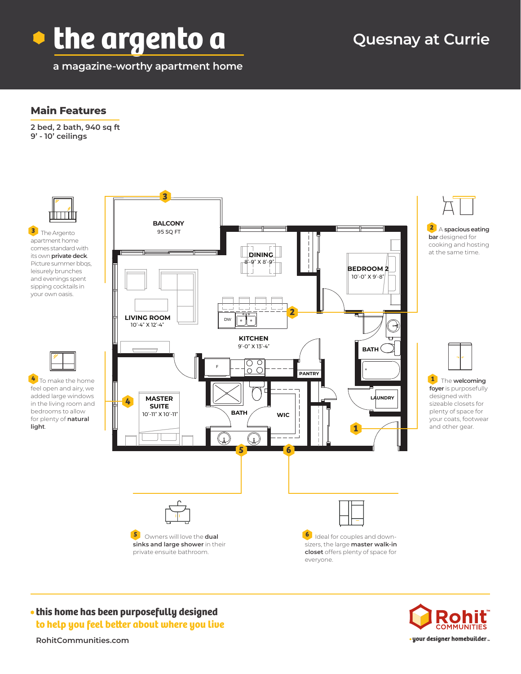

**a magazine-worthy apartment home**

# **Quesnay at Currie**

### **Main Features**

**2 bed, 2 bath, 940 sq ft 9' - 10' ceilings**



**this home has been purposefully designed to help you feel better about where you live**



**RohitCommunities.com**